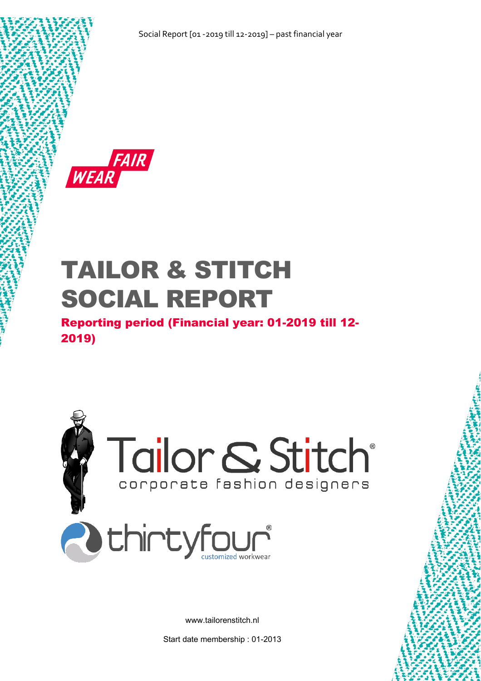

# TAILOR & STITCH SOCIAL REPORT

Reporting period (Financial year: 01-2019 till 12- 2019)



www.tailorenstitch.nl

Start date membership : 01-2013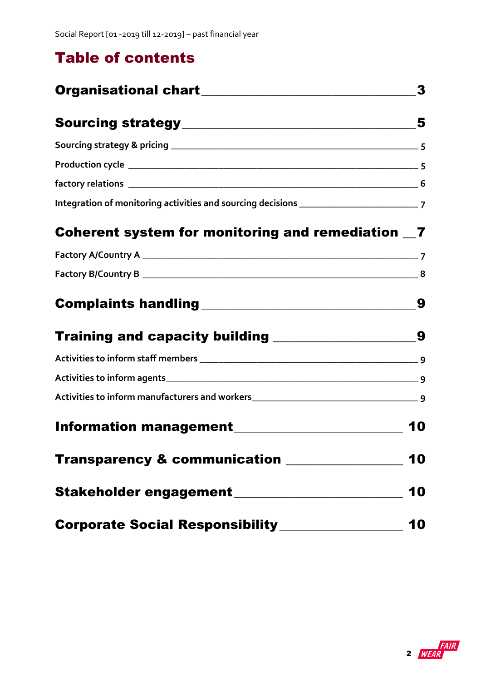# Table of contents

|                                                         | 3  |
|---------------------------------------------------------|----|
|                                                         |    |
|                                                         |    |
|                                                         |    |
|                                                         |    |
|                                                         |    |
| Coherent system for monitoring and remediation _7       |    |
|                                                         |    |
|                                                         |    |
|                                                         | 9  |
| Training and capacity building _______________________9 |    |
|                                                         |    |
|                                                         |    |
|                                                         |    |
| Information management________________________          | 10 |
| Transparency & communication ______________             | 10 |
| Stakeholder engagement_______________________           | 10 |
| Corporate Social Responsibility______________           | 10 |

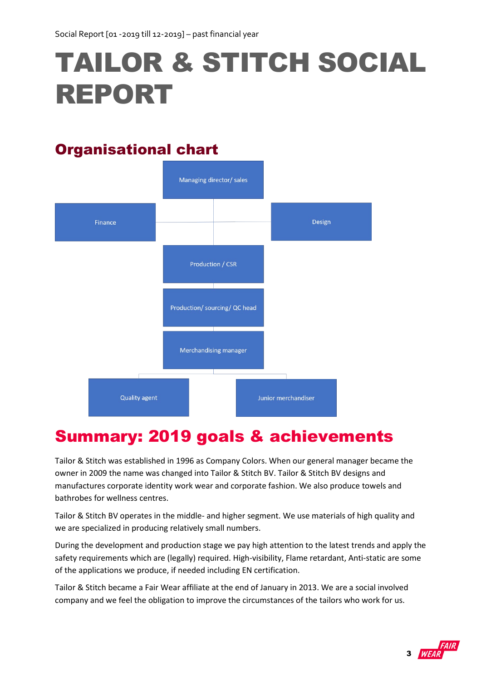# TAILOR & STITCH SOCIAL REPORT

# <span id="page-2-0"></span>Organisational chart



# Summary: 2019 goals & achievements

Tailor & Stitch was established in 1996 as Company Colors. When our general manager became the owner in 2009 the name was changed into Tailor & Stitch BV. Tailor & Stitch BV designs and manufactures corporate identity work wear and corporate fashion. We also produce towels and bathrobes for wellness centres.

Tailor & Stitch BV operates in the middle- and higher segment. We use materials of high quality and we are specialized in producing relatively small numbers.

During the development and production stage we pay high attention to the latest trends and apply the safety requirements which are (legally) required. High-visibility, Flame retardant, Anti-static are some of the applications we produce, if needed including EN certification.

Tailor & Stitch became a Fair Wear affiliate at the end of January in 2013. We are a social involved company and we feel the obligation to improve the circumstances of the tailors who work for us.

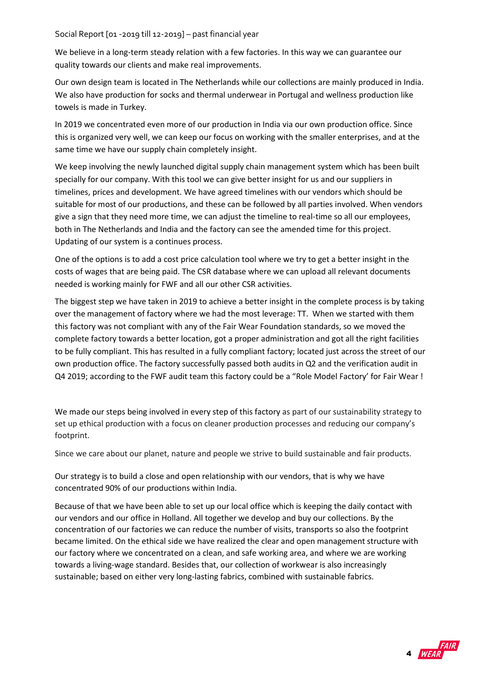We believe in a long-term steady relation with a few factories. In this way we can guarantee our quality towards our clients and make real improvements.

Our own design team is located in The Netherlands while our collections are mainly produced in India. We also have production for socks and thermal underwear in Portugal and wellness production like towels is made in Turkey.

In 2019 we concentrated even more of our production in India via our own production office. Since this is organized very well, we can keep our focus on working with the smaller enterprises, and at the same time we have our supply chain completely insight.

We keep involving the newly launched digital supply chain management system which has been built specially for our company. With this tool we can give better insight for us and our suppliers in timelines, prices and development. We have agreed timelines with our vendors which should be suitable for most of our productions, and these can be followed by all parties involved. When vendors give a sign that they need more time, we can adjust the timeline to real-time so all our employees, both in The Netherlands and India and the factory can see the amended time for this project. Updating of our system is a continues process.

One of the options is to add a cost price calculation tool where we try to get a better insight in the costs of wages that are being paid. The CSR database where we can upload all relevant documents needed is working mainly for FWF and all our other CSR activities.

The biggest step we have taken in 2019 to achieve a better insight in the complete process is by taking over the management of factory where we had the most leverage: TT. When we started with them this factory was not compliant with any of the Fair Wear Foundation standards, so we moved the complete factory towards a better location, got a proper administration and got all the right facilities to be fully compliant. This has resulted in a fully compliant factory; located just across the street of our own production office. The factory successfully passed both audits in Q2 and the verification audit in Q4 2019; according to the FWF audit team this factory could be a "Role Model Factory' for Fair Wear !

We made our steps being involved in every step of this factory as part of our sustainability strategy to set up ethical production with a focus on cleaner production processes and reducing our company's footprint.

Since we care about our planet, nature and people we strive to build sustainable and fair products.

Our strategy is to build a close and open relationship with our vendors, that is why we have concentrated 90% of our productions within India.

Because of that we have been able to set up our local office which is keeping the daily contact with our vendors and our office in Holland. All together we develop and buy our collections. By the concentration of our factories we can reduce the number of visits, transports so also the footprint became limited. On the ethical side we have realized the clear and open management structure with our factory where we concentrated on a clean, and safe working area, and where we are working towards a living-wage standard. Besides that, our collection of workwear is also increasingly sustainable; based on either very long-lasting fabrics, combined with sustainable fabrics.

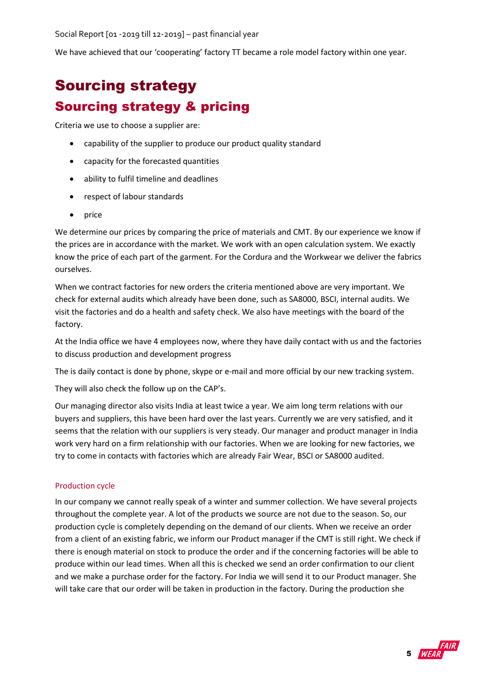We have achieved that our 'cooperating' factory TT became a role model factory within one year.

# <span id="page-4-1"></span><span id="page-4-0"></span>Sourcing strategy Sourcing strategy & pricing

Criteria we use to choose a supplier are:

- capability of the supplier to produce our product quality standard
- capacity for the forecasted quantities
- ability to fulfil timeline and deadlines
- respect of labour standards
- price

We determine our prices by comparing the price of materials and CMT. By our experience we know if the prices are in accordance with the market. We work with an open calculation system. We exactly know the price of each part of the garment. For the Cordura and the Workwear we deliver the fabrics ourselves.

When we contract factories for new orders the criteria mentioned above are very important. We check for external audits which already have been done, such as SA8000, BSCI, internal audits. We visit the factories and do a health and safety check. We also have meetings with the board of the factory.

At the India office we have 4 employees now, where they have daily contact with us and the factories to discuss production and development progress

The is daily contact is done by phone, skype or e-mail and more official by our new tracking system.

They will also check the follow up on the CAP's.

Our managing director also visits India at least twice a year. We aim long term relations with our buyers and suppliers, this have been hard over the last years. Currently we are very satisfied, and it seems that the relation with our suppliers is very steady. Our manager and product manager in India work very hard on a firm relationship with our factories. When we are looking for new factories, we try to come in contacts with factories which are already Fair Wear, BSCI or SA8000 audited.

#### <span id="page-4-2"></span>Production cycle

In our company we cannot really speak of a winter and summer collection. We have several projects throughout the complete year. A lot of the products we source are not due to the season. So, our production cycle is completely depending on the demand of our clients. When we receive an order from a client of an existing fabric, we inform our Product manager if the CMT is still right. We check if there is enough material on stock to produce the order and if the concerning factories will be able to produce within our lead times. When all this is checked we send an order confirmation to our client and we make a purchase order for the factory. For India we will send it to our Product manager. She will take care that our order will be taken in production in the factory. During the production she

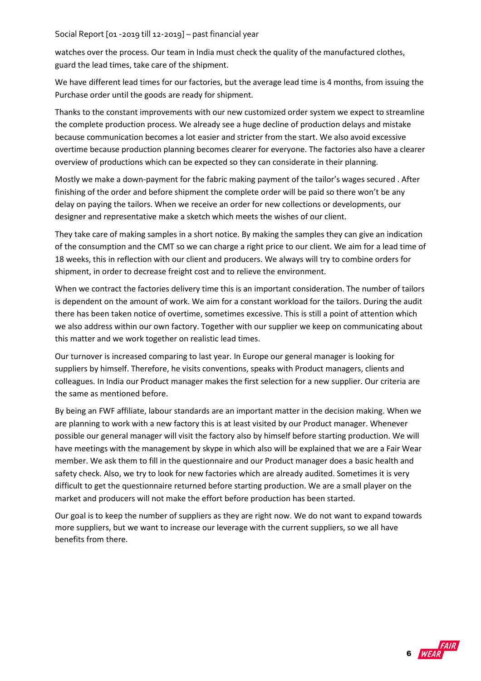watches over the process. Our team in India must check the quality of the manufactured clothes, guard the lead times, take care of the shipment.

We have different lead times for our factories, but the average lead time is 4 months, from issuing the Purchase order until the goods are ready for shipment.

Thanks to the constant improvements with our new customized order system we expect to streamline the complete production process. We already see a huge decline of production delays and mistake because communication becomes a lot easier and stricter from the start. We also avoid excessive overtime because production planning becomes clearer for everyone. The factories also have a clearer overview of productions which can be expected so they can considerate in their planning.

Mostly we make a down-payment for the fabric making payment of the tailor's wages secured . After finishing of the order and before shipment the complete order will be paid so there won't be any delay on paying the tailors. When we receive an order for new collections or developments, our designer and representative make a sketch which meets the wishes of our client.

They take care of making samples in a short notice. By making the samples they can give an indication of the consumption and the CMT so we can charge a right price to our client. We aim for a lead time of 18 weeks, this in reflection with our client and producers. We always will try to combine orders for shipment, in order to decrease freight cost and to relieve the environment.

When we contract the factories delivery time this is an important consideration. The number of tailors is dependent on the amount of work. We aim for a constant workload for the tailors. During the audit there has been taken notice of overtime, sometimes excessive. This is still a point of attention which we also address within our own factory. Together with our supplier we keep on communicating about this matter and we work together on realistic lead times.

Our turnover is increased comparing to last year. In Europe our general manager is looking for suppliers by himself. Therefore, he visits conventions, speaks with Product managers, clients and colleagues. In India our Product manager makes the first selection for a new supplier. Our criteria are the same as mentioned before.

By being an FWF affiliate, labour standards are an important matter in the decision making. When we are planning to work with a new factory this is at least visited by our Product manager. Whenever possible our general manager will visit the factory also by himself before starting production. We will have meetings with the management by skype in which also will be explained that we are a Fair Wear member. We ask them to fill in the questionnaire and our Product manager does a basic health and safety check. Also, we try to look for new factories which are already audited. Sometimes it is very difficult to get the questionnaire returned before starting production. We are a small player on the market and producers will not make the effort before production has been started.

Our goal is to keep the number of suppliers as they are right now. We do not want to expand towards more suppliers, but we want to increase our leverage with the current suppliers, so we all have benefits from there.

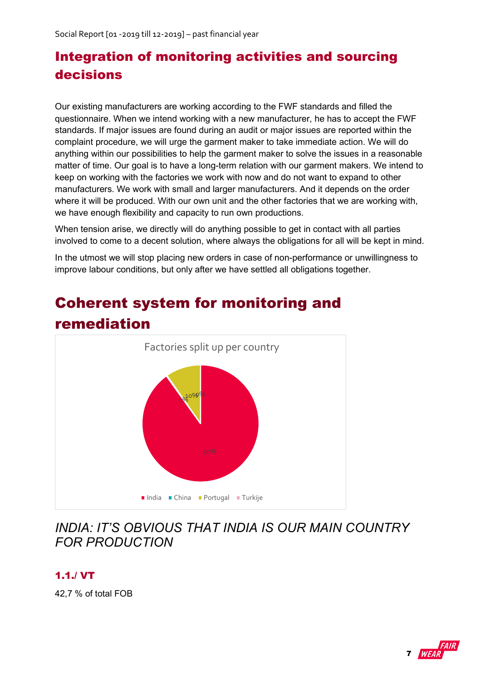# <span id="page-6-0"></span>Integration of monitoring activities and sourcing decisions

Our existing manufacturers are working according to the FWF standards and filled the questionnaire. When we intend working with a new manufacturer, he has to accept the FWF standards. If major issues are found during an audit or major issues are reported within the complaint procedure, we will urge the garment maker to take immediate action. We will do anything within our possibilities to help the garment maker to solve the issues in a reasonable matter of time. Our goal is to have a long-term relation with our garment makers. We intend to keep on working with the factories we work with now and do not want to expand to other manufacturers. We work with small and larger manufacturers. And it depends on the order where it will be produced. With our own unit and the other factories that we are working with, we have enough flexibility and capacity to run own productions.

When tension arise, we directly will do anything possible to get in contact with all parties involved to come to a decent solution, where always the obligations for all will be kept in mind.

In the utmost we will stop placing new orders in case of non-performance or unwillingness to improve labour conditions, but only after we have settled all obligations together.



# <span id="page-6-1"></span>Coherent system for monitoring and remediation

## *INDIA: IT'S OBVIOUS THAT INDIA IS OUR MAIN COUNTRY FOR PRODUCTION*

### 1.1./ VT

42,7 % of total FOB

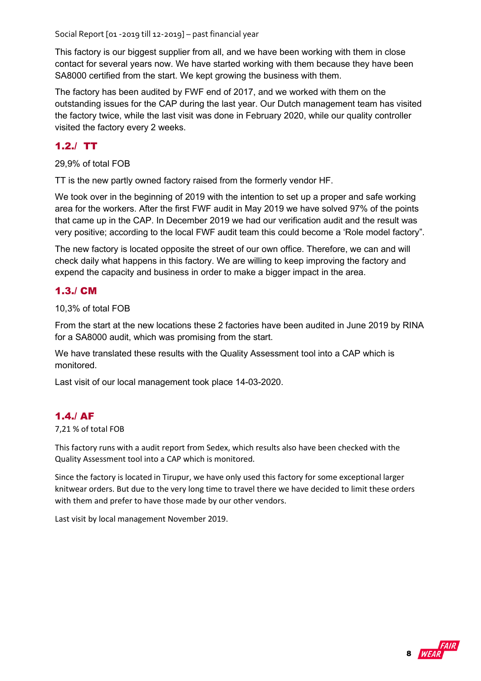This factory is our biggest supplier from all, and we have been working with them in close contact for several years now. We have started working with them because they have been SA8000 certified from the start. We kept growing the business with them.

The factory has been audited by FWF end of 2017, and we worked with them on the outstanding issues for the CAP during the last year. Our Dutch management team has visited the factory twice, while the last visit was done in February 2020, while our quality controller visited the factory every 2 weeks.

#### 1.2./ TT

29,9% of total FOB

TT is the new partly owned factory raised from the formerly vendor HF.

We took over in the beginning of 2019 with the intention to set up a proper and safe working area for the workers. After the first FWF audit in May 2019 we have solved 97% of the points that came up in the CAP. In December 2019 we had our verification audit and the result was very positive; according to the local FWF audit team this could become a 'Role model factory".

The new factory is located opposite the street of our own office. Therefore, we can and will check daily what happens in this factory. We are willing to keep improving the factory and expend the capacity and business in order to make a bigger impact in the area.

#### 1.3./ CM

10,3% of total FOB

From the start at the new locations these 2 factories have been audited in June 2019 by RINA for a SA8000 audit, which was promising from the start.

We have translated these results with the Quality Assessment tool into a CAP which is monitored.

Last visit of our local management took place 14-03-2020.

#### 1.4./ AF

#### 7,21 % of total FOB

This factory runs with a audit report from Sedex, which results also have been checked with the Quality Assessment tool into a CAP which is monitored.

Since the factory is located in Tirupur, we have only used this factory for some exceptional larger knitwear orders. But due to the very long time to travel there we have decided to limit these orders with them and prefer to have those made by our other vendors.

Last visit by local management November 2019.

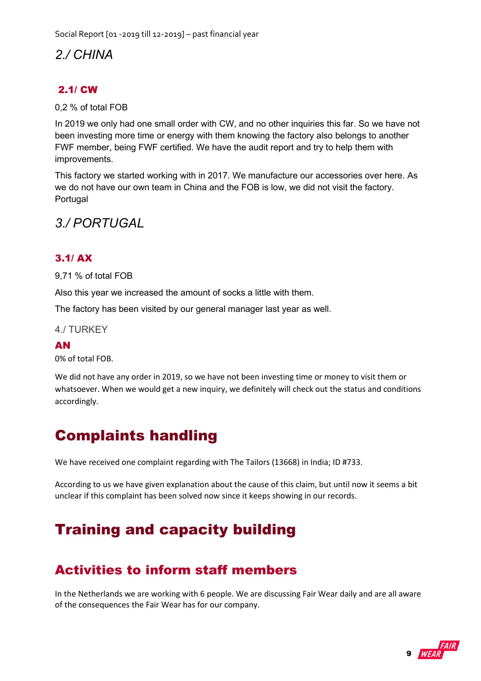## *2./ CHINA*

## 2.1/ CW

0,2 % of total FOB

In 2019 we only had one small order with CW, and no other inquiries this far. So we have not been investing more time or energy with them knowing the factory also belongs to another FWF member, being FWF certified. We have the audit report and try to help them with improvements.

This factory we started working with in 2017. We manufacture our accessories over here. As we do not have our own team in China and the FOB is low, we did not visit the factory. Portugal

## *3./ PORTUGAL*

### 3.1/ AX

9,71 % of total FOB

Also this year we increased the amount of socks a little with them.

The factory has been visited by our general manager last year as well.

4./ TURKEY

#### AN

0% of total FOB.

We did not have any order in 2019, so we have not been investing time or money to visit them or whatsoever. When we would get a new inquiry, we definitely will check out the status and conditions accordingly.

# <span id="page-8-0"></span>Complaints handling

We have received one complaint regarding with The Tailors (13668) in India; ID #733.

According to us we have given explanation about the cause of this claim, but until now it seems a bit unclear if this complaint has been solved now since it keeps showing in our records.

## <span id="page-8-2"></span><span id="page-8-1"></span>Training and capacity building

## Activities to inform staff members

In the Netherlands we are working with 6 people. We are discussing Fair Wear daily and are all aware of the consequences the Fair Wear has for our company.